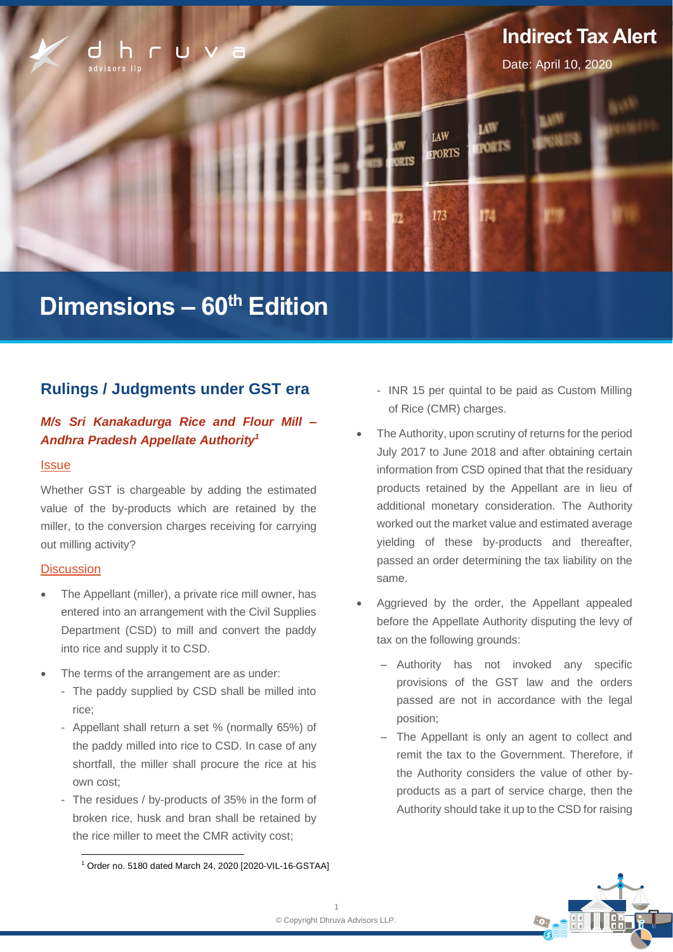

# **Dimensions – 60th Edition**

## **Rulings / Judgments under GST era**

## *M/s Sri Kanakadurga Rice and Flour Mill – Andhra Pradesh Appellate Authority<sup>1</sup>*

#### **Issue**

Whether GST is chargeable by adding the estimated value of the by-products which are retained by the miller, to the conversion charges receiving for carrying out milling activity?

#### **Discussion**

- The Appellant (miller), a private rice mill owner, has entered into an arrangement with the Civil Supplies Department (CSD) to mill and convert the paddy into rice and supply it to CSD.
- The terms of the arrangement are as under:
	- The paddy supplied by CSD shall be milled into rice;
	- Appellant shall return a set % (normally 65%) of the paddy milled into rice to CSD. In case of any shortfall, the miller shall procure the rice at his own cost;
	- The residues / by-products of 35% in the form of broken rice, husk and bran shall be retained by the rice miller to meet the CMR activity cost;
- INR 15 per quintal to be paid as Custom Milling of Rice (CMR) charges.
- The Authority, upon scrutiny of returns for the period July 2017 to June 2018 and after obtaining certain information from CSD opined that that the residuary products retained by the Appellant are in lieu of additional monetary consideration. The Authority worked out the market value and estimated average yielding of these by-products and thereafter, passed an order determining the tax liability on the same.
- Aggrieved by the order, the Appellant appealed before the Appellate Authority disputing the levy of tax on the following grounds:
	- ‒ Authority has not invoked any specific provisions of the GST law and the orders passed are not in accordance with the legal position;
	- ‒ The Appellant is only an agent to collect and remit the tax to the Government. Therefore, if the Authority considers the value of other byproducts as a part of service charge, then the Authority should take it up to the CSD for raising



<sup>1</sup> Order no. 5180 dated March 24, 2020 [2020-VIL-16-GSTAA]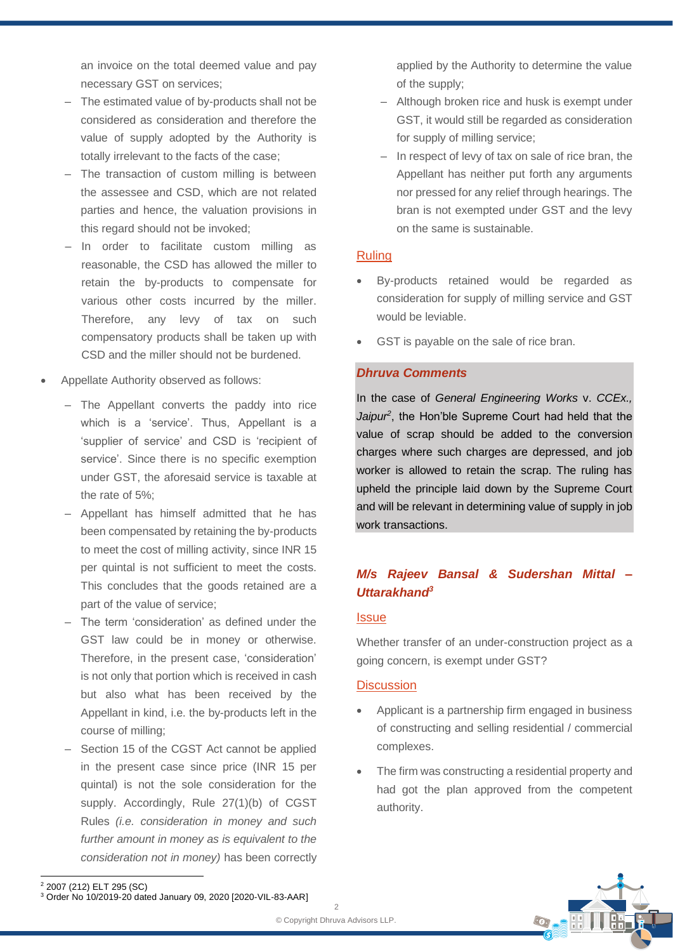an invoice on the total deemed value and pay necessary GST on services;

- The estimated value of by-products shall not be considered as consideration and therefore the value of supply adopted by the Authority is totally irrelevant to the facts of the case;
- ‒ The transaction of custom milling is between the assessee and CSD, which are not related parties and hence, the valuation provisions in this regard should not be invoked;
- ‒ In order to facilitate custom milling as reasonable, the CSD has allowed the miller to retain the by-products to compensate for various other costs incurred by the miller. Therefore, any levy of tax on such compensatory products shall be taken up with CSD and the miller should not be burdened.
- Appellate Authority observed as follows:
	- ‒ The Appellant converts the paddy into rice which is a 'service'. Thus, Appellant is a 'supplier of service' and CSD is 'recipient of service'. Since there is no specific exemption under GST, the aforesaid service is taxable at the rate of 5%;
	- Appellant has himself admitted that he has been compensated by retaining the by-products to meet the cost of milling activity, since INR 15 per quintal is not sufficient to meet the costs. This concludes that the goods retained are a part of the value of service;
	- ‒ The term 'consideration' as defined under the GST law could be in money or otherwise. Therefore, in the present case, 'consideration' is not only that portion which is received in cash but also what has been received by the Appellant in kind, i.e. the by-products left in the course of milling;
	- Section 15 of the CGST Act cannot be applied in the present case since price (INR 15 per quintal) is not the sole consideration for the supply. Accordingly, Rule 27(1)(b) of CGST Rules *(i.e. consideration in money and such further amount in money as is equivalent to the consideration not in money)* has been correctly

applied by the Authority to determine the value of the supply;

- ‒ Although broken rice and husk is exempt under GST, it would still be regarded as consideration for supply of milling service;
- In respect of levy of tax on sale of rice bran, the Appellant has neither put forth any arguments nor pressed for any relief through hearings. The bran is not exempted under GST and the levy on the same is sustainable.

#### Ruling

- By-products retained would be regarded as consideration for supply of milling service and GST would be leviable.
- GST is payable on the sale of rice bran.

#### *Dhruva Comments*

In the case of *General Engineering Works* v. *CCEx.,*  Jaipur<sup>2</sup>, the Hon'ble Supreme Court had held that the value of scrap should be added to the conversion charges where such charges are depressed, and job worker is allowed to retain the scrap. The ruling has upheld the principle laid down by the Supreme Court and will be relevant in determining value of supply in job work transactions.

## *M/s Rajeev Bansal & Sudershan Mittal – Uttarakhand<sup>3</sup>*

#### **Issue**

Whether transfer of an under-construction project as a going concern, is exempt under GST?

#### **Discussion**

- Applicant is a partnership firm engaged in business of constructing and selling residential / commercial complexes.
- The firm was constructing a residential property and had got the plan approved from the competent authority.



<sup>2</sup> 2007 (212) ELT 295 (SC)

<sup>3</sup> Order No 10/2019-20 dated January 09, 2020 [2020-VIL-83-AAR]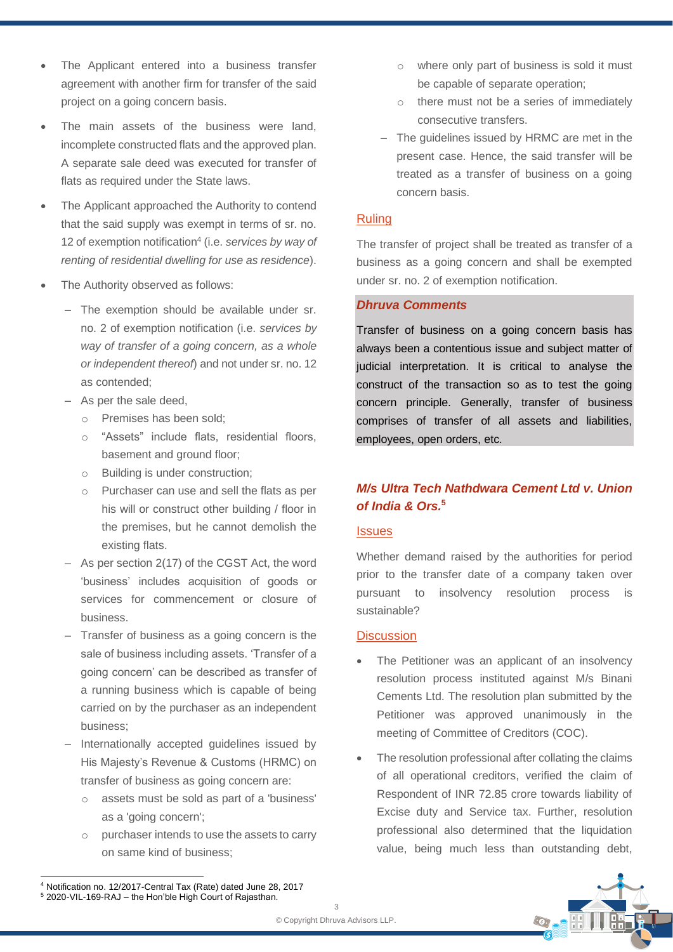- The Applicant entered into a business transfer agreement with another firm for transfer of the said project on a going concern basis.
- The main assets of the business were land, incomplete constructed flats and the approved plan. A separate sale deed was executed for transfer of flats as required under the State laws.
- The Applicant approached the Authority to contend that the said supply was exempt in terms of sr. no. 12 of exemption notification 4 (i.e. *services by way of renting of residential dwelling for use as residence*).
- The Authority observed as follows:
	- The exemption should be available under sr. no. 2 of exemption notification (i.e. *services by way of transfer of a going concern, as a whole or independent thereof*) and not under sr. no. 12 as contended;
	- As per the sale deed,
		- o Premises has been sold;
		- o "Assets" include flats, residential floors, basement and ground floor;
		- o Building is under construction;
		- o Purchaser can use and sell the flats as per his will or construct other building / floor in the premises, but he cannot demolish the existing flats.
	- ‒ As per section 2(17) of the CGST Act, the word 'business' includes acquisition of goods or services for commencement or closure of business.
	- ‒ Transfer of business as a going concern is the sale of business including assets. 'Transfer of a going concern' can be described as transfer of a running business which is capable of being carried on by the purchaser as an independent business;
	- ‒ Internationally accepted guidelines issued by His Majesty's Revenue & Customs (HRMC) on transfer of business as going concern are:
		- o assets must be sold as part of a 'business' as a 'going concern';
		- o purchaser intends to use the assets to carry on same kind of business;
- o where only part of business is sold it must be capable of separate operation;
- o there must not be a series of immediately consecutive transfers.
- ‒ The guidelines issued by HRMC are met in the present case. Hence, the said transfer will be treated as a transfer of business on a going concern basis.

#### Ruling

The transfer of project shall be treated as transfer of a business as a going concern and shall be exempted under sr. no. 2 of exemption notification.

### *Dhruva Comments*

Transfer of business on a going concern basis has always been a contentious issue and subject matter of judicial interpretation. It is critical to analyse the construct of the transaction so as to test the going concern principle. Generally, transfer of business comprises of transfer of all assets and liabilities, employees, open orders, etc.

## *M/s Ultra Tech Nathdwara Cement Ltd v. Union of India & Ors.***<sup>5</sup>**

#### **Issues**

Whether demand raised by the authorities for period prior to the transfer date of a company taken over pursuant to insolvency resolution process is sustainable?

#### **Discussion**

- The Petitioner was an applicant of an insolvency resolution process instituted against M/s Binani Cements Ltd. The resolution plan submitted by the Petitioner was approved unanimously in the meeting of Committee of Creditors (COC).
- The resolution professional after collating the claims of all operational creditors, verified the claim of Respondent of INR 72.85 crore towards liability of Excise duty and Service tax. Further, resolution professional also determined that the liquidation value, being much less than outstanding debt,



<sup>4</sup> Notification no. 12/2017-Central Tax (Rate) dated June 28, 2017 <sup>5</sup> 2020-VIL-169-RAJ – the Hon'ble High Court of Rajasthan.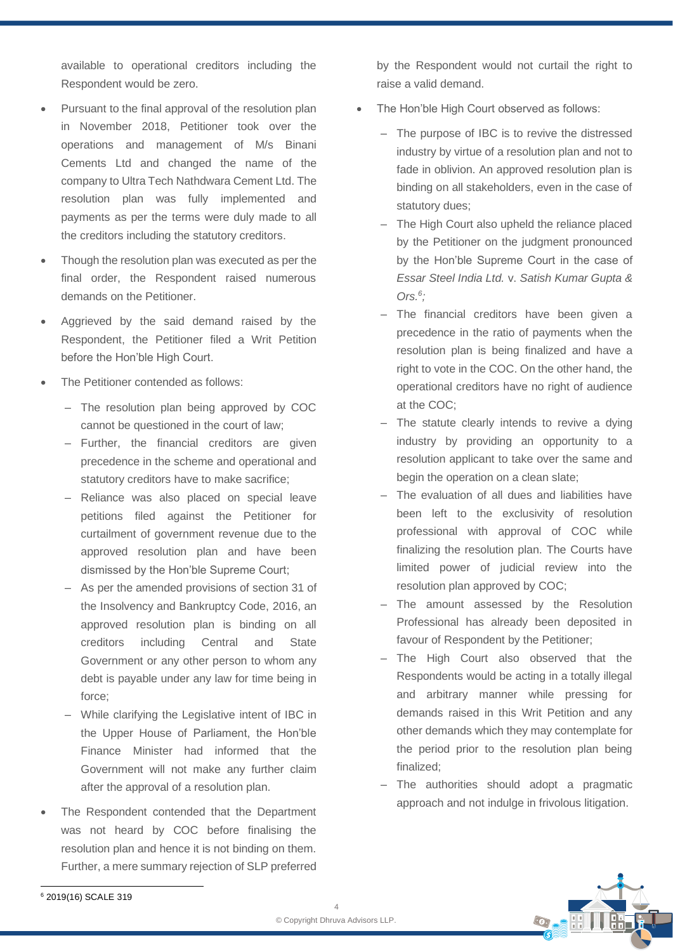available to operational creditors including the Respondent would be zero.

- Pursuant to the final approval of the resolution plan in November 2018, Petitioner took over the operations and management of M/s Binani Cements Ltd and changed the name of the company to Ultra Tech Nathdwara Cement Ltd. The resolution plan was fully implemented and payments as per the terms were duly made to all the creditors including the statutory creditors.
- Though the resolution plan was executed as per the final order, the Respondent raised numerous demands on the Petitioner.
- Aggrieved by the said demand raised by the Respondent, the Petitioner filed a Writ Petition before the Hon'ble High Court.
- The Petitioner contended as follows:
	- The resolution plan being approved by COC cannot be questioned in the court of law;
	- Further, the financial creditors are given precedence in the scheme and operational and statutory creditors have to make sacrifice;
	- Reliance was also placed on special leave petitions filed against the Petitioner for curtailment of government revenue due to the approved resolution plan and have been dismissed by the Hon'ble Supreme Court;
	- ‒ As per the amended provisions of section 31 of the Insolvency and Bankruptcy Code, 2016, an approved resolution plan is binding on all creditors including Central and State Government or any other person to whom any debt is payable under any law for time being in force;
	- ‒ While clarifying the Legislative intent of IBC in the Upper House of Parliament, the Hon'ble Finance Minister had informed that the Government will not make any further claim after the approval of a resolution plan.
- The Respondent contended that the Department was not heard by COC before finalising the resolution plan and hence it is not binding on them. Further, a mere summary rejection of SLP preferred

by the Respondent would not curtail the right to raise a valid demand.

- The Hon'ble High Court observed as follows:
	- ‒ The purpose of IBC is to revive the distressed industry by virtue of a resolution plan and not to fade in oblivion. An approved resolution plan is binding on all stakeholders, even in the case of statutory dues;
	- The High Court also upheld the reliance placed by the Petitioner on the judgment pronounced by the Hon'ble Supreme Court in the case of *Essar Steel India Ltd.* v. *Satish Kumar Gupta & Ors. 6 ;*
	- The financial creditors have been given a precedence in the ratio of payments when the resolution plan is being finalized and have a right to vote in the COC. On the other hand, the operational creditors have no right of audience at the COC;
	- ‒ The statute clearly intends to revive a dying industry by providing an opportunity to a resolution applicant to take over the same and begin the operation on a clean slate;
	- The evaluation of all dues and liabilities have been left to the exclusivity of resolution professional with approval of COC while finalizing the resolution plan. The Courts have limited power of judicial review into the resolution plan approved by COC;
	- ‒ The amount assessed by the Resolution Professional has already been deposited in favour of Respondent by the Petitioner;
	- ‒ The High Court also observed that the Respondents would be acting in a totally illegal and arbitrary manner while pressing for demands raised in this Writ Petition and any other demands which they may contemplate for the period prior to the resolution plan being finalized;
	- The authorities should adopt a pragmatic approach and not indulge in frivolous litigation.



<sup>6</sup> 2019(16) SCALE 319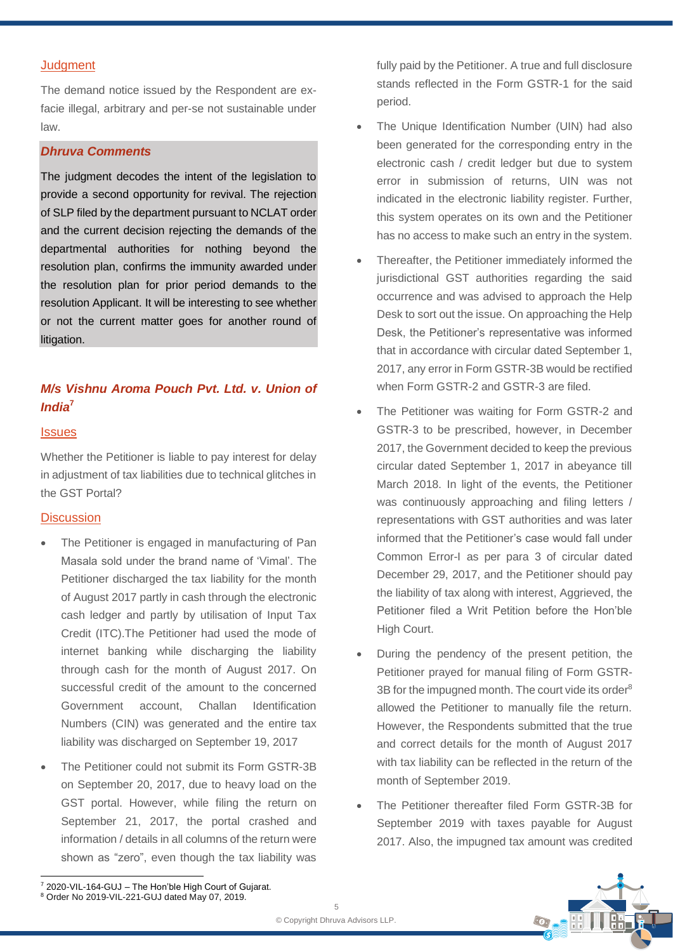#### **Judgment**

The demand notice issued by the Respondent are exfacie illegal, arbitrary and per-se not sustainable under law.

#### *Dhruva Comments*

The judgment decodes the intent of the legislation to provide a second opportunity for revival. The rejection of SLP filed by the department pursuant to NCLAT order and the current decision rejecting the demands of the departmental authorities for nothing beyond the resolution plan, confirms the immunity awarded under the resolution plan for prior period demands to the resolution Applicant. It will be interesting to see whether or not the current matter goes for another round of litigation.

## *M/s Vishnu Aroma Pouch Pvt. Ltd. v. Union of India***<sup>7</sup>**

#### **Issues**

Whether the Petitioner is liable to pay interest for delay in adjustment of tax liabilities due to technical glitches in the GST Portal?

#### **Discussion**

- The Petitioner is engaged in manufacturing of Pan Masala sold under the brand name of 'Vimal'. The Petitioner discharged the tax liability for the month of August 2017 partly in cash through the electronic cash ledger and partly by utilisation of Input Tax Credit (ITC).The Petitioner had used the mode of internet banking while discharging the liability through cash for the month of August 2017. On successful credit of the amount to the concerned Government account, Challan Identification Numbers (CIN) was generated and the entire tax liability was discharged on September 19, 2017
- The Petitioner could not submit its Form GSTR-3B on September 20, 2017, due to heavy load on the GST portal. However, while filing the return on September 21, 2017, the portal crashed and information / details in all columns of the return were shown as "zero", even though the tax liability was

fully paid by the Petitioner. A true and full disclosure stands reflected in the Form GSTR-1 for the said period.

- The Unique Identification Number (UIN) had also been generated for the corresponding entry in the electronic cash / credit ledger but due to system error in submission of returns, UIN was not indicated in the electronic liability register. Further, this system operates on its own and the Petitioner has no access to make such an entry in the system.
- Thereafter, the Petitioner immediately informed the jurisdictional GST authorities regarding the said occurrence and was advised to approach the Help Desk to sort out the issue. On approaching the Help Desk, the Petitioner's representative was informed that in accordance with circular dated September 1, 2017, any error in Form GSTR-3B would be rectified when Form GSTR-2 and GSTR-3 are filed.
- The Petitioner was waiting for Form GSTR-2 and GSTR-3 to be prescribed, however, in December 2017, the Government decided to keep the previous circular dated September 1, 2017 in abeyance till March 2018. In light of the events, the Petitioner was continuously approaching and filing letters / representations with GST authorities and was later informed that the Petitioner's case would fall under Common Error-I as per para 3 of circular dated December 29, 2017, and the Petitioner should pay the liability of tax along with interest, Aggrieved, the Petitioner filed a Writ Petition before the Hon'ble High Court.
- During the pendency of the present petition, the Petitioner prayed for manual filing of Form GSTR-3B for the impugned month. The court vide its order<sup>8</sup> allowed the Petitioner to manually file the return. However, the Respondents submitted that the true and correct details for the month of August 2017 with tax liability can be reflected in the return of the month of September 2019.
- The Petitioner thereafter filed Form GSTR-3B for September 2019 with taxes payable for August 2017. Also, the impugned tax amount was credited



<sup>7</sup> 2020-VIL-164-GUJ – The Hon'ble High Court of Gujarat.

<sup>8</sup> Order No 2019-VIL-221-GUJ dated May 07, 2019.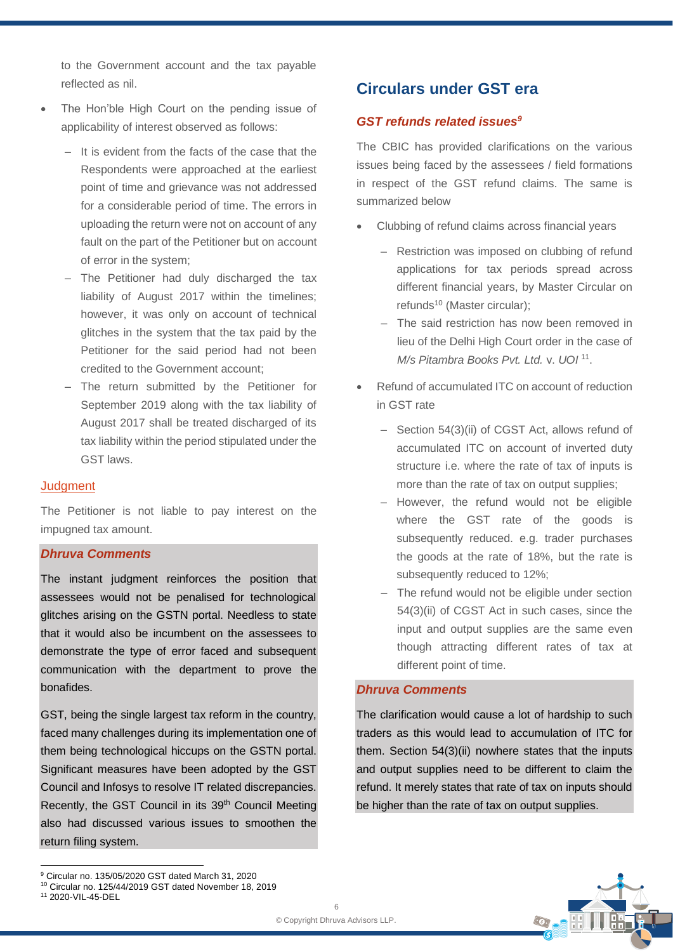to the Government account and the tax payable reflected as nil.

- The Hon'ble High Court on the pending issue of applicability of interest observed as follows:
	- ‒ It is evident from the facts of the case that the Respondents were approached at the earliest point of time and grievance was not addressed for a considerable period of time. The errors in uploading the return were not on account of any fault on the part of the Petitioner but on account of error in the system;
	- The Petitioner had duly discharged the tax liability of August 2017 within the timelines; however, it was only on account of technical glitches in the system that the tax paid by the Petitioner for the said period had not been credited to the Government account;
	- ‒ The return submitted by the Petitioner for September 2019 along with the tax liability of August 2017 shall be treated discharged of its tax liability within the period stipulated under the GST laws.

#### **Judgment**

The Petitioner is not liable to pay interest on the impugned tax amount.

### *Dhruva Comments*

The instant judgment reinforces the position that assessees would not be penalised for technological glitches arising on the GSTN portal. Needless to state that it would also be incumbent on the assessees to demonstrate the type of error faced and subsequent communication with the department to prove the bonafides.

GST, being the single largest tax reform in the country, faced many challenges during its implementation one of them being technological hiccups on the GSTN portal. Significant measures have been adopted by the GST Council and Infosys to resolve IT related discrepancies. Recently, the GST Council in its 39<sup>th</sup> Council Meeting also had discussed various issues to smoothen the return filing system.

## **Circulars under GST era**

#### *GST refunds related issues<sup>9</sup>*

The CBIC has provided clarifications on the various issues being faced by the assessees / field formations in respect of the GST refund claims. The same is summarized below

- Clubbing of refund claims across financial years
	- Restriction was imposed on clubbing of refund applications for tax periods spread across different financial years, by Master Circular on refunds<sup>10</sup> (Master circular);
	- ‒ The said restriction has now been removed in lieu of the Delhi High Court order in the case of *M/s Pitambra Books Pvt. Ltd.* v. *UOI* <sup>11</sup> .
- Refund of accumulated ITC on account of reduction in GST rate
	- Section 54(3)(ii) of CGST Act, allows refund of accumulated ITC on account of inverted duty structure i.e. where the rate of tax of inputs is more than the rate of tax on output supplies;
	- ‒ However, the refund would not be eligible where the GST rate of the goods is subsequently reduced. e.g. trader purchases the goods at the rate of 18%, but the rate is subsequently reduced to 12%;
	- The refund would not be eligible under section 54(3)(ii) of CGST Act in such cases, since the input and output supplies are the same even though attracting different rates of tax at different point of time.

#### *Dhruva Comments*

The clarification would cause a lot of hardship to such traders as this would lead to accumulation of ITC for them. Section 54(3)(ii) nowhere states that the inputs and output supplies need to be different to claim the refund. It merely states that rate of tax on inputs should be higher than the rate of tax on output supplies.

<sup>9</sup> Circular no. 135/05/2020 GST dated March 31, 2020

<sup>10</sup> Circular no. 125/44/2019 GST dated November 18, 2019

<sup>11</sup> 2020-VIL-45-DEL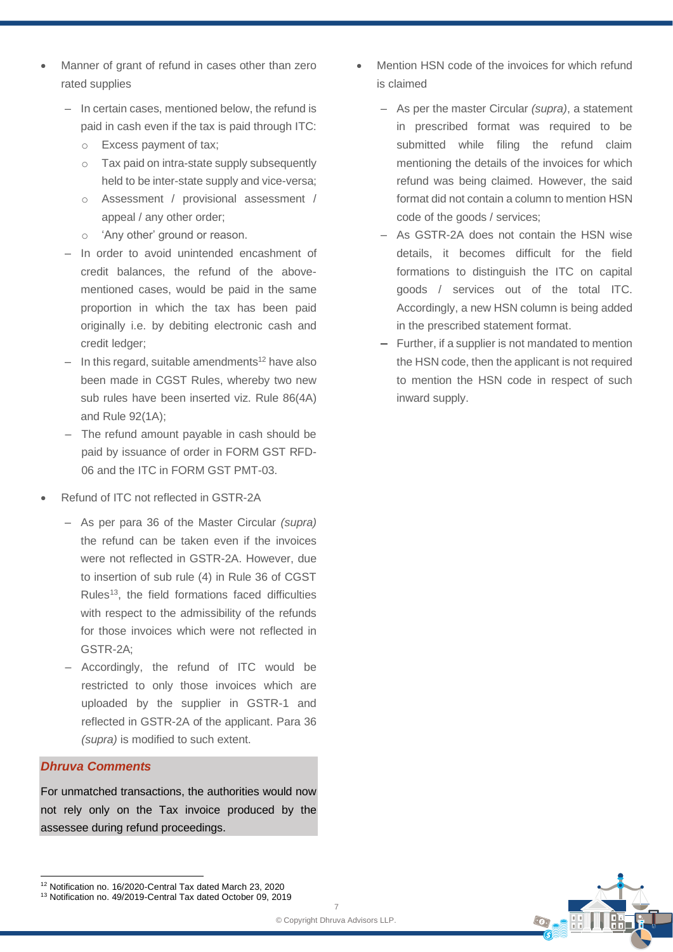- Manner of grant of refund in cases other than zero rated supplies
	- In certain cases, mentioned below, the refund is paid in cash even if the tax is paid through ITC:
		- o Excess payment of tax;
		- o Tax paid on intra-state supply subsequently held to be inter-state supply and vice-versa;
		- o Assessment / provisional assessment / appeal / any other order;
		- o 'Any other' ground or reason.
	- ‒ In order to avoid unintended encashment of credit balances, the refund of the abovementioned cases, would be paid in the same proportion in which the tax has been paid originally i.e. by debiting electronic cash and credit ledger;
	- $-$  In this regard, suitable amendments<sup>12</sup> have also been made in CGST Rules, whereby two new sub rules have been inserted viz. Rule 86(4A) and Rule 92(1A);
	- The refund amount payable in cash should be paid by issuance of order in FORM GST RFD-06 and the ITC in FORM GST PMT-03.
- Refund of ITC not reflected in GSTR-2A
	- ‒ As per para 36 of the Master Circular *(supra)* the refund can be taken even if the invoices were not reflected in GSTR-2A. However, due to insertion of sub rule (4) in Rule 36 of CGST Rules<sup>13</sup>, the field formations faced difficulties with respect to the admissibility of the refunds for those invoices which were not reflected in GSTR-2A;
	- ‒ Accordingly, the refund of ITC would be restricted to only those invoices which are uploaded by the supplier in GSTR-1 and reflected in GSTR-2A of the applicant. Para 36 *(supra)* is modified to such extent.

### *Dhruva Comments*

For unmatched transactions, the authorities would now not rely only on the Tax invoice produced by the assessee during refund proceedings.

<sup>12</sup> Notification no. 16/2020-Central Tax dated March 23, 2020 <sup>13</sup> Notification no. 49/2019-Central Tax dated October 09, 2019

- Mention HSN code of the invoices for which refund is claimed
	- ‒ As per the master Circular *(supra)*, a statement in prescribed format was required to be submitted while filing the refund claim mentioning the details of the invoices for which refund was being claimed. However, the said format did not contain a column to mention HSN code of the goods / services;
	- ‒ As GSTR-2A does not contain the HSN wise details, it becomes difficult for the field formations to distinguish the ITC on capital goods / services out of the total ITC. Accordingly, a new HSN column is being added in the prescribed statement format.
	- ‒ Further, if a supplier is not mandated to mention the HSN code, then the applicant is not required to mention the HSN code in respect of such inward supply.